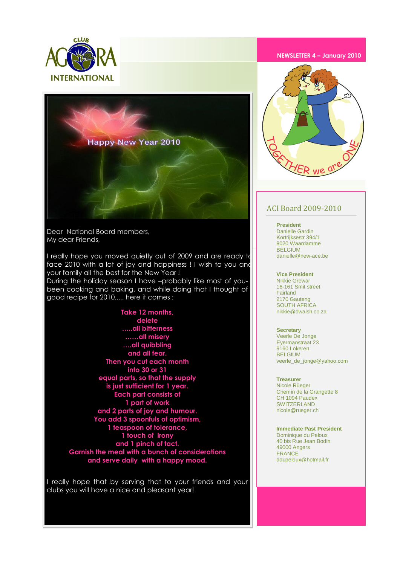



Dear National Board members, My dear Friends,

I really hope you moved quietly out of 2009 and are ready to face 2010 with a lot of joy and happiness ! I wish to you and your family all the best for the New Year !

During the holiday season I have –probably like most of youbeen cooking and baking, and while doing that I thought of good recipe for 2010..... here it comes :

> **Take 12 months, delete …..all bitterness ……all misery ….all quibbling and all fear. Then you cut each month into 30 or 31 equal parts, so that the supply is just sufficient for 1 year. Each part consists of 1 part of work and 2 parts of joy and humour. You add 3 spoonfuls of optimism, 1 teaspoon of tolerance, 1 touch of irony and 1 pinch of tact. Garnish the meal with a bunch of considerations and serve daily with a happy mood.**

I really hope that by serving that to your friends and your clubs you will have a nice and pleasant year!

#### **NEWSLETTER 4 – January 2010**



#### ACI Board 2009-2010

**President**  Danielle Gardin Kortrijksestr 394/1 8020 Waardamme **BELGILIM** danielle@new-ace.be

**Vice President**  Nikkie Grewar 16-161 Smit street Fairland 2170 Gauteng SOUTH AFRICA nikkie@dwalsh.co.za

**Secretary** Veerle De Jonge Eyermanstraat 23 9160 Lokeren BELGIUM veerle\_de\_jonge@yahoo.com

**Treasurer** Nicole Rüeger Chemin de la Grangette 8 CH 1094 Paudex SWITZERLAND nicole@rueger.ch

**Immediate Past President** Dominique du Peloux 40 bis Rue Jean Bodin 49000 Angers FRANCE ddupeloux@hotmail.fr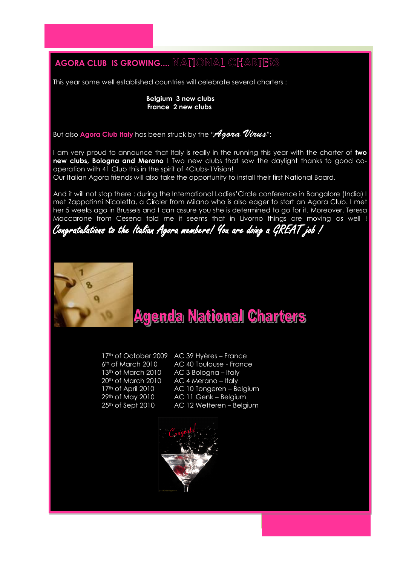# **AGORA CLUB IS GROWING.... NATIONAL CHARTERS**

This year some well established countries will celebrate several charters :

 **Belgium 3 new clubs France 2 new clubs**

But also **Agora Club Italy** has been struck by the "*Agora Virus*":

I am very proud to announce that Italy is really in the running this year with the charter of **two new clubs, Bologna and Merano** ! Two new clubs that saw the daylight thanks to good cooperation with 41 Club this in the spirit of 4Clubs-1Vision!

Our Italian Agora friends will also take the opportunity to install their first National Board.

And it will not stop there : during the International Ladies' Circle conference in Bangalore (India) I met Zappatinni Nicoletta, a Circler from Milano who is also eager to start an Agora Club. I met her 5 weeks ago in Brussels and I can assure you she is determined to go for it. Moreover, Teresa Maccarone from Cesena told me it seems that in Livorno things are moving as well !

Congratulations to the Italian Agora members! You are doing a GREAT job !



# **Agenda National Charters**

17<sup>th</sup> of October 2009 AC 39 Hyères – France 6th of March 2010 AC 40 Toulouse - France 13<sup>th</sup> of March 2010 <br>AC 3 Bologna – Italy 20<sup>th</sup> of March 2010 AC 4 Merano – Italy 17<sup>th</sup> of April 2010 AC 10 Tongeren - Belgium 29<sup>th</sup> of May 2010 AC 11 Genk – Belgium 25<sup>th</sup> of Sept 2010 AC 12 Wetteren - Belgium

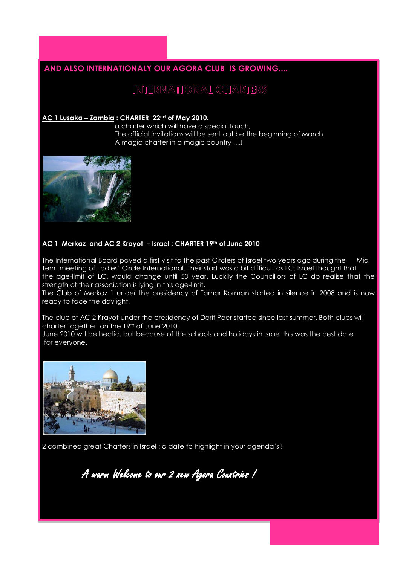### **AND ALSO INTERNATIONALY OUR AGORA CLUB IS GROWING....**

### INTERNATIONAL CHARTERS

#### **AC 1 Lusaka – Zambia : CHARTER 22nd of May 2010.**

 a charter which will have a special touch, The official invitations will be sent out be the beginning of March. A magic charter in a magic country ....!



#### **AC 1 Merkaz and AC 2 Krayot – Israel : CHARTER 19th of June 2010**

The International Board payed a first visit to the past Circlers of Israel two years ago during the Mid Term meeting of Ladies' Circle International. Their start was a bit difficult as LC. Israel thought that the age-limit of LC. would change until 50 year. Luckily the Councillors of LC do realise that the strength of their association is lying in this age-limit.

The Club of Merkaz 1 under the presidency of Tamar Korman started in silence in 2008 and is now ready to face the daylight.

The club of AC 2 Krayot under the presidency of Dorit Peer started since last summer. Both clubs will charter together on the 19th of June 2010.

June 2010 will be hectic, but because of the schools and holidays in Israel this was the best date for everyone.



2 combined great Charters in Israel : a date to highlight in your agenda's !

A warm Welcome to our 2 new Agora Countries !